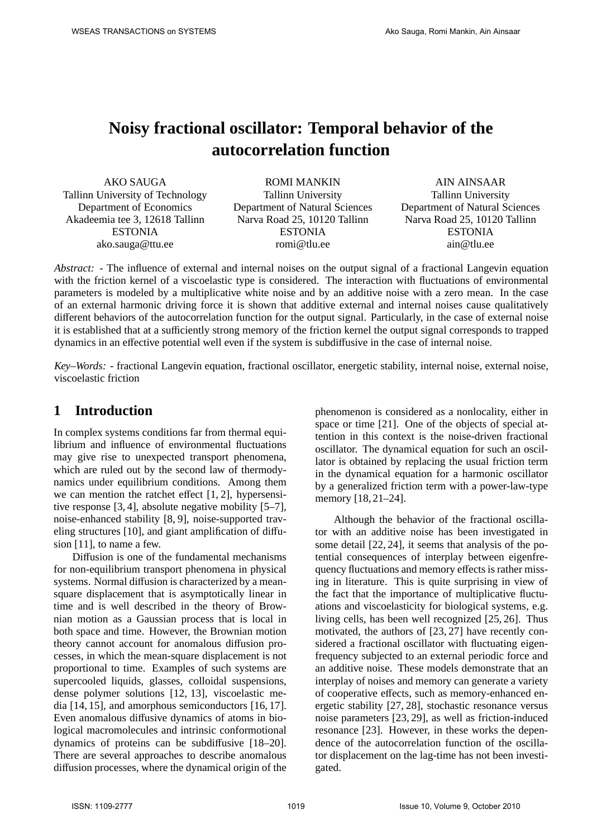# **Noisy fractional oscillator: Temporal behavior of the autocorrelation function**

AKO SAUGA Tallinn University of Technology Department of Economics Akadeemia tee 3, 12618 Tallinn ESTONIA ako.sauga@ttu.ee

ROMI MANKIN Tallinn University Department of Natural Sciences Narva Road 25, 10120 Tallinn ESTONIA romi@tlu.ee

AIN AINSAAR Tallinn University Department of Natural Sciences Narva Road 25, 10120 Tallinn ESTONIA ain@tlu.ee

*Abstract: -* The influence of external and internal noises on the output signal of a fractional Langevin equation with the friction kernel of a viscoelastic type is considered. The interaction with fluctuations of environmental parameters is modeled by a multiplicative white noise and by an additive noise with a zero mean. In the case of an external harmonic driving force it is shown that additive external and internal noises cause qualitatively different behaviors of the autocorrelation function for the output signal. Particularly, in the case of external noise it is established that at a sufficiently strong memory of the friction kernel the output signal corresponds to trapped dynamics in an effective potential well even if the system is subdiffusive in the case of internal noise.

*Key–Words: -* fractional Langevin equation, fractional oscillator, energetic stability, internal noise, external noise, viscoelastic friction

## **1 Introduction**

In complex systems conditions far from thermal equilibrium and influence of environmental fluctuations may give rise to unexpected transport phenomena, which are ruled out by the second law of thermodynamics under equilibrium conditions. Among them we can mention the ratchet effect [1, 2], hypersensitive response [3, 4], absolute negative mobility [5–7], noise-enhanced stability [8, 9], noise-supported traveling structures [10], and giant amplification of diffusion [11], to name a few.

Diffusion is one of the fundamental mechanisms for non-equilibrium transport phenomena in physical systems. Normal diffusion is characterized by a meansquare displacement that is asymptotically linear in time and is well described in the theory of Brownian motion as a Gaussian process that is local in both space and time. However, the Brownian motion theory cannot account for anomalous diffusion processes, in which the mean-square displacement is not proportional to time. Examples of such systems are supercooled liquids, glasses, colloidal suspensions, dense polymer solutions [12, 13], viscoelastic media [14, 15], and amorphous semiconductors [16, 17]. Even anomalous diffusive dynamics of atoms in biological macromolecules and intrinsic conformotional dynamics of proteins can be subdiffusive [18–20]. There are several approaches to describe anomalous diffusion processes, where the dynamical origin of the

phenomenon is considered as a nonlocality, either in space or time [21]. One of the objects of special attention in this context is the noise-driven fractional oscillator. The dynamical equation for such an oscillator is obtained by replacing the usual friction term in the dynamical equation for a harmonic oscillator by a generalized friction term with a power-law-type memory [18, 21–24].

Although the behavior of the fractional oscillator with an additive noise has been investigated in some detail [22, 24], it seems that analysis of the potential consequences of interplay between eigenfrequency fluctuations and memory effects is rather missing in literature. This is quite surprising in view of the fact that the importance of multiplicative fluctuations and viscoelasticity for biological systems, e.g. living cells, has been well recognized [25, 26]. Thus motivated, the authors of [23, 27] have recently considered a fractional oscillator with fluctuating eigenfrequency subjected to an external periodic force and an additive noise. These models demonstrate that an interplay of noises and memory can generate a variety of cooperative effects, such as memory-enhanced energetic stability [27, 28], stochastic resonance versus noise parameters [23, 29], as well as friction-induced resonance [23]. However, in these works the dependence of the autocorrelation function of the oscillator displacement on the lag-time has not been investigated.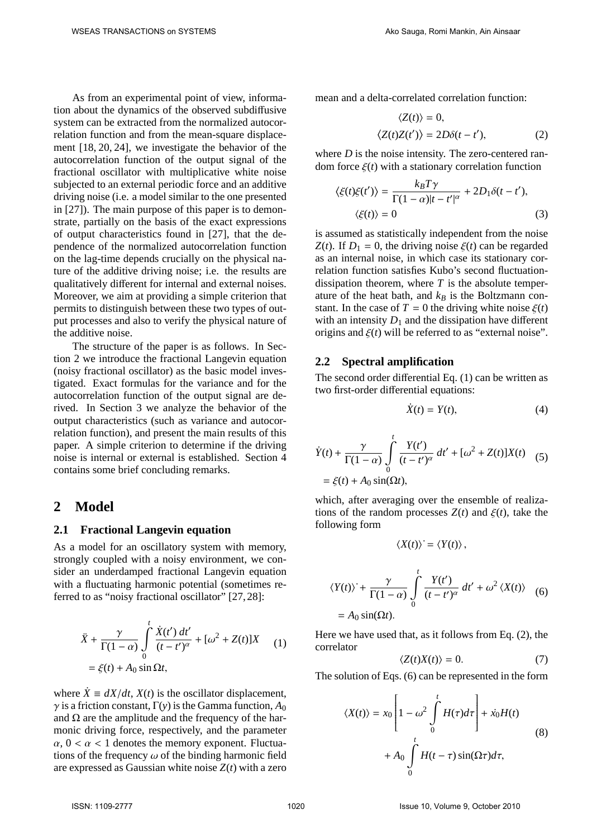As from an experimental point of view, information about the dynamics of the observed subdiffusive system can be extracted from the normalized autocorrelation function and from the mean-square displacement [18, 20, 24], we investigate the behavior of the autocorrelation function of the output signal of the fractional oscillator with multiplicative white noise subjected to an external periodic force and an additive driving noise (i.e. a model similar to the one presented in [27]). The main purpose of this paper is to demonstrate, partially on the basis of the exact expressions of output characteristics found in [27], that the dependence of the normalized autocorrelation function on the lag-time depends crucially on the physical nature of the additive driving noise; i.e. the results are qualitatively different for internal and external noises. Moreover, we aim at providing a simple criterion that permits to distinguish between these two types of output processes and also to verify the physical nature of the additive noise.

The structure of the paper is as follows. In Section 2 we introduce the fractional Langevin equation (noisy fractional oscillator) as the basic model investigated. Exact formulas for the variance and for the autocorrelation function of the output signal are derived. In Section 3 we analyze the behavior of the output characteristics (such as variance and autocorrelation function), and present the main results of this paper. A simple criterion to determine if the driving noise is internal or external is established. Section 4 contains some brief concluding remarks.

### **2 Model**

### **2.1 Fractional Langevin equation**

As a model for an oscillatory system with memory, strongly coupled with a noisy environment, we consider an underdamped fractional Langevin equation with a fluctuating harmonic potential (sometimes referred to as "noisy fractional oscillator" [27, 28]:

$$
\ddot{X} + \frac{\gamma}{\Gamma(1-\alpha)} \int_{0}^{t} \frac{\dot{X}(t') dt'}{(t-t')^{\alpha}} + [\omega^{2} + Z(t)]X
$$
  
=  $\xi(t) + A_{0} \sin \Omega t,$  (1)

where  $\dot{X} \equiv dX/dt$ ,  $X(t)$  is the oscillator displacement, γ is a friction constant, Γ(*y*) is the Gamma function, *A*<sup>0</sup> and  $\Omega$  are the amplitude and the frequency of the harmonic driving force, respectively, and the parameter  $\alpha$ ,  $0 < \alpha < 1$  denotes the memory exponent. Fluctuations of the frequency  $\omega$  of the binding harmonic field are expressed as Gaussian white noise *Z*(*t*) with a zero

mean and a delta-correlated correlation function:

$$
\langle Z(t) \rangle = 0,
$$
  

$$
\langle Z(t)Z(t') \rangle = 2D\delta(t - t'),
$$
 (2)

where *D* is the noise intensity. The zero-centered random force  $\xi(t)$  with a stationary correlation function

$$
\langle \xi(t)\xi(t')\rangle = \frac{k_B T \gamma}{\Gamma(1-\alpha)|t-t'|^{\alpha}} + 2D_1 \delta(t-t'),
$$
  

$$
\langle \xi(t)\rangle = 0
$$
 (3)

is assumed as statistically independent from the noise *Z*(*t*). If *D*<sub>1</sub> = 0, the driving noise  $\xi(t)$  can be regarded as an internal noise, in which case its stationary correlation function satisfies Kubo's second fluctuationdissipation theorem, where *T* is the absolute temperature of the heat bath, and  $k_B$  is the Boltzmann constant. In the case of  $T = 0$  the driving white noise  $\xi(t)$ with an intensity  $D_1$  and the dissipation have different origins and  $\xi(t)$  will be referred to as "external noise".

### **2.2 Spectral amplification**

The second order differential Eq. (1) can be written as two first-order differential equations:

$$
\dot{X}(t) = Y(t),\tag{4}
$$

$$
\dot{Y}(t) + \frac{\gamma}{\Gamma(1-\alpha)} \int_{0}^{t} \frac{Y(t')}{(t-t')^{\alpha}} dt' + [\omega^{2} + Z(t)]X(t) \quad (5)
$$

$$
= \xi(t) + A_{0} \sin(\Omega t),
$$

which, after averaging over the ensemble of realizations of the random processes  $Z(t)$  and  $\xi(t)$ , take the following form

$$
\langle X(t)\rangle = \langle Y(t)\rangle\,,
$$

$$
\langle Y(t) \rangle + \frac{\gamma}{\Gamma(1-\alpha)} \int_{0}^{t} \frac{Y(t')}{(t-t')^{\alpha}} dt' + \omega^{2} \langle X(t) \rangle
$$
 (6)  
=  $A_{0} \sin(\Omega t)$ .

Here we have used that, as it follows from Eq. (2), the correlator

$$
\langle Z(t)X(t)\rangle = 0.\tag{7}
$$

The solution of Eqs. (6) can be represented in the form

$$
\langle X(t) \rangle = x_0 \left[ 1 - \omega^2 \int_0^t H(\tau) d\tau \right] + \dot{x}_0 H(t)
$$
  
+ 
$$
A_0 \int_0^t H(t - \tau) \sin(\Omega \tau) d\tau,
$$
 (8)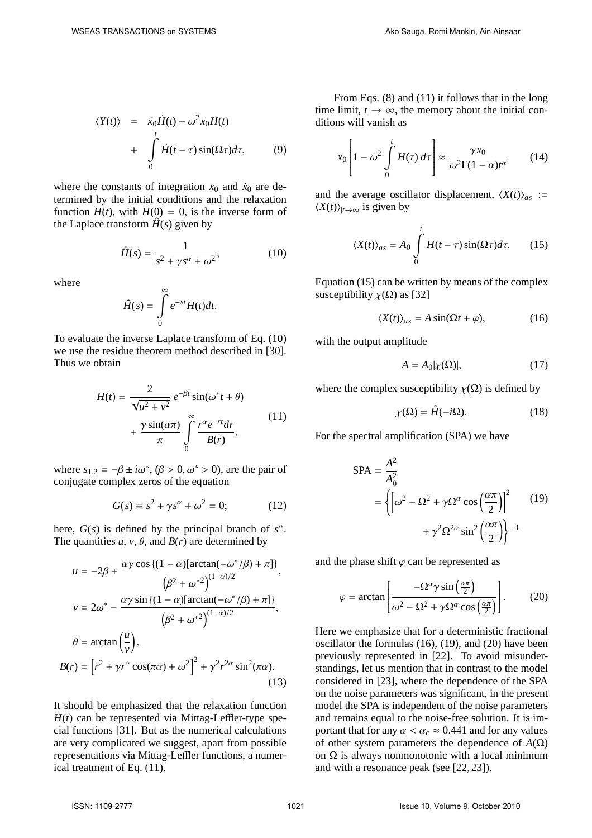$$
\langle Y(t) \rangle = x_0 \dot{H}(t) - \omega^2 x_0 H(t)
$$
  
+ 
$$
\int_0^t \dot{H}(t - \tau) \sin(\Omega \tau) d\tau,
$$
 (9)

where the constants of integration  $x_0$  and  $\dot{x}_0$  are determined by the initial conditions and the relaxation function  $H(t)$ , with  $H(0) = 0$ , is the inverse form of the Laplace transform  $\hat{H}(s)$  given by

$$
\hat{H}(s) = \frac{1}{s^2 + \gamma s^{\alpha} + \omega^2},\tag{10}
$$

where

$$
\hat{H}(s) = \int_{0}^{\infty} e^{-st} H(t) dt.
$$

To evaluate the inverse Laplace transform of Eq. (10) we use the residue theorem method described in [30]. Thus we obtain

$$
H(t) = \frac{2}{\sqrt{u^2 + v^2}} e^{-\beta t} \sin(\omega^* t + \theta)
$$

$$
+ \frac{\gamma \sin(\alpha \pi)}{\pi} \int_{0}^{\infty} \frac{r^{\alpha} e^{-rt} dr}{B(r)},
$$
(11)

where  $s_{1,2} = -\beta \pm i\omega^*$ ,  $(\beta > 0, \omega^* > 0)$ , are the pair of conjugate complex zeros of the equation

$$
G(s) \equiv s^2 + \gamma s^{\alpha} + \omega^2 = 0; \tag{12}
$$

here,  $G(s)$  is defined by the principal branch of  $s^{\alpha}$ . The quantities  $u$ ,  $v$ ,  $\theta$ , and  $B(r)$  are determined by

$$
u = -2\beta + \frac{\alpha \gamma \cos \left\{ (1 - \alpha) [\arctan(-\omega^*/\beta) + \pi] \right\}}{(\beta^2 + \omega^{*2})^{(1 - \alpha)/2}},
$$
  

$$
v = 2\omega^* - \frac{\alpha \gamma \sin \left\{ (1 - \alpha) [\arctan(-\omega^*/\beta) + \pi] \right\}}{(\beta^2 + \omega^{*2})^{(1 - \alpha)/2}},
$$
  

$$
\theta = \arctan\left(\frac{u}{v}\right),
$$
  

$$
B(r) = \left[ r^2 + \gamma r^{\alpha} \cos(\pi \alpha) + \omega^2 \right]^2 + \gamma^2 r^{2\alpha} \sin^2(\pi \alpha).
$$
 (13)

It should be emphasized that the relaxation function  $H(t)$  can be represented via Mittag-Leffler-type special functions [31]. But as the numerical calculations are very complicated we suggest, apart from possible representations via Mittag-Leffler functions, a numerical treatment of Eq. (11).

From Eqs. (8) and (11) it follows that in the long time limit,  $t \rightarrow \infty$ , the memory about the initial conditions will vanish as

$$
x_0 \left[ 1 - \omega^2 \int_0^t H(\tau) d\tau \right] \approx \frac{\gamma x_0}{\omega^2 \Gamma (1 - \alpha) t^{\alpha}} \qquad (14)
$$

and the average oscillator displacement,  $\langle X(t) \rangle_{as}$  :=  $\langle X(t) \rangle_{|t \to \infty}$  is given by

$$
\langle X(t) \rangle_{as} = A_0 \int_0^t H(t - \tau) \sin(\Omega \tau) d\tau.
$$
 (15)

Equation (15) can be written by means of the complex susceptibility  $\chi(\Omega)$  as [32]

$$
\langle X(t) \rangle_{as} = A \sin(\Omega t + \varphi), \tag{16}
$$

with the output amplitude

$$
A = A_0|\chi(\Omega)|,\t(17)
$$

where the complex susceptibility  $\chi(\Omega)$  is defined by

$$
\chi(\Omega) = \hat{H}(-i\Omega). \tag{18}
$$

For the spectral amplification (SPA) we have

$$
SPA = \frac{A^2}{A_0^2}
$$
  
= 
$$
\left\{ \left[ \omega^2 - \Omega^2 + \gamma \Omega^{\alpha} \cos \left( \frac{\alpha \pi}{2} \right) \right]^2 + \gamma^2 \Omega^{2\alpha} \sin^2 \left( \frac{\alpha \pi}{2} \right) \right\}^{-1}
$$
 (19)

and the phase shift  $\varphi$  can be represented as

$$
\varphi = \arctan\left[\frac{-\Omega^{\alpha}\gamma\sin\left(\frac{\alpha\pi}{2}\right)}{\omega^2 - \Omega^2 + \gamma\Omega^{\alpha}\cos\left(\frac{\alpha\pi}{2}\right)}\right].
$$
 (20)

Here we emphasize that for a deterministic fractional oscillator the formulas (16), (19), and (20) have been previously represented in [22]. To avoid misunderstandings, let us mention that in contrast to the model considered in [23], where the dependence of the SPA on the noise parameters was significant, in the present model the SPA is independent of the noise parameters and remains equal to the noise-free solution. It is important that for any  $\alpha < \alpha_c \approx 0.441$  and for any values of other system parameters the dependence of *A*(Ω) on  $\Omega$  is always nonmonotonic with a local minimum and with a resonance peak (see [22, 23]).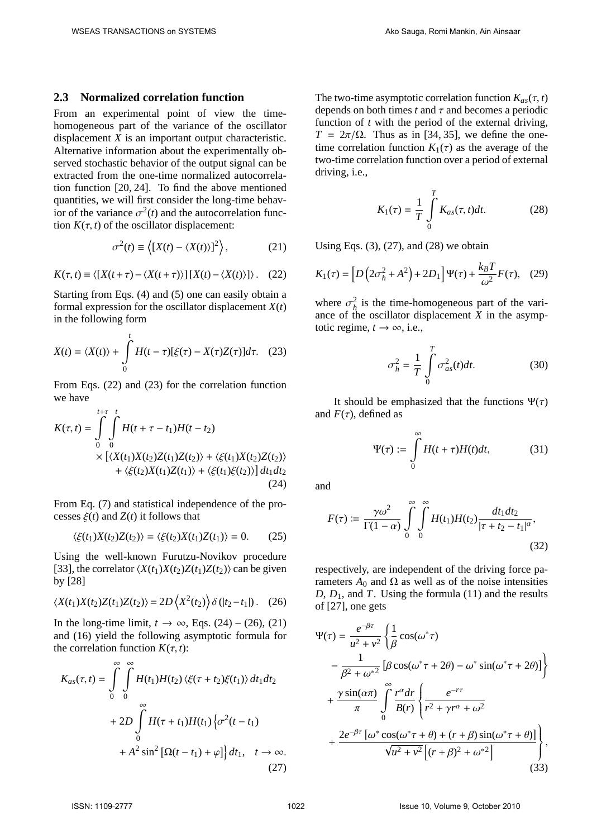#### **2.3 Normalized correlation function**

From an experimental point of view the timehomogeneous part of the variance of the oscillator displacement *X* is an important output characteristic. Alternative information about the experimentally observed stochastic behavior of the output signal can be extracted from the one-time normalized autocorrelation function [20, 24]. To find the above mentioned quantities, we will first consider the long-time behavior of the variance  $\sigma^2(t)$  and the autocorrelation function  $K(\tau, t)$  of the oscillator displacement:

$$
\sigma^{2}(t) \equiv \langle \left[ X(t) - \langle X(t) \rangle \right]^2 \rangle, \tag{21}
$$

$$
K(\tau, t) \equiv \langle [X(t+\tau) - \langle X(t+\tau) \rangle] [X(t) - \langle X(t) \rangle] \rangle. \quad (22)
$$

Starting from Eqs. (4) and (5) one can easily obtain a formal expression for the oscillator displacement *X*(*t*) in the following form

$$
X(t) = \langle X(t) \rangle + \int_{0}^{t} H(t - \tau)[\xi(\tau) - X(\tau)Z(\tau)]d\tau.
$$
 (23)

From Eqs. (22) and (23) for the correlation function we have

$$
K(\tau, t) = \int_{0}^{t+\tau} \int_{0}^{t} H(t + \tau - t_1)H(t - t_2)
$$
  
 
$$
\times [\langle X(t_1)X(t_2)Z(t_1)Z(t_2) \rangle + \langle \xi(t_1)X(t_2)Z(t_2) \rangle
$$
  
 
$$
+ \langle \xi(t_2)X(t_1)Z(t_1) \rangle + \langle \xi(t_1)\xi(t_2) \rangle] dt_1 dt_2
$$
  
(24)

From Eq. (7) and statistical independence of the processes  $\xi(t)$  and  $Z(t)$  it follows that

$$
\langle \xi(t_1)X(t_2)Z(t_2) \rangle = \langle \xi(t_2)X(t_1)Z(t_1) \rangle = 0. \qquad (25)
$$

Using the well-known Furutzu-Novikov procedure [33], the correlator  $\langle X(t_1)X(t_2)Z(t_1)Z(t_2)\rangle$  can be given by [28]

$$
\langle X(t_1)X(t_2)Z(t_1)Z(t_2)\rangle = 2D\langle X^2(t_2)\rangle \delta(|t_2 - t_1|). \quad (26)
$$

In the long-time limit,  $t \to \infty$ , Eqs. (24) – (26), (21) and (16) yield the following asymptotic formula for the correlation function  $K(\tau, t)$ :

$$
K_{as}(\tau, t) = \int_{0}^{\infty} \int_{0}^{\infty} H(t_1)H(t_2) \langle \xi(\tau + t_2)\xi(t_1) \rangle dt_1 dt_2
$$
  
+ 
$$
2D \int_{0}^{\infty} H(\tau + t_1)H(t_1) \left\{ \sigma^2(t - t_1) + A^2 \sin^2 \left[ \Omega(t - t_1) + \varphi \right] \right\} dt_1, \quad t \to \infty.
$$
(27)

The two-time asymptotic correlation function  $K_{as}(\tau, t)$ depends on both times  $t$  and  $\tau$  and becomes a periodic function of *t* with the period of the external driving,  $T = 2\pi/\Omega$ . Thus as in [34, 35], we define the onetime correlation function  $K_1(\tau)$  as the average of the two-time correlation function over a period of external driving, i.e.,

$$
K_1(\tau) = \frac{1}{T} \int_{0}^{T} K_{as}(\tau, t) dt.
$$
 (28)

Using Eqs.  $(3)$ ,  $(27)$ , and  $(28)$  we obtain

$$
K_1(\tau) = \left[ D \left( 2\sigma_h^2 + A^2 \right) + 2D_1 \right] \Psi(\tau) + \frac{k_B T}{\omega^2} F(\tau), \quad (29)
$$

where  $\sigma_h^2$  is the time-homogeneous part of the variance of the oscillator displacement  $\overline{X}$  in the asymptotic regime,  $t \rightarrow \infty$ , i.e.,

$$
\sigma_h^2 = \frac{1}{T} \int_0^T \sigma_{as}^2(t)dt.
$$
 (30)

It should be emphasized that the functions  $\Psi(\tau)$ and  $F(\tau)$ , defined as

$$
\Psi(\tau) := \int_{0}^{\infty} H(t+\tau)H(t)dt,
$$
\n(31)

and

$$
F(\tau) \coloneqq \frac{\gamma \omega^2}{\Gamma(1-\alpha)} \int\limits_0^\infty \int\limits_0^\infty H(t_1)H(t_2) \frac{dt_1 dt_2}{|\tau + t_2 - t_1|^\alpha},\tag{32}
$$

respectively, are independent of the driving force parameters  $A_0$  and  $Ω$  as well as of the noise intensities  $D, D_1,$  and  $T$ . Using the formula (11) and the results of [27], one gets

$$
\Psi(\tau) = \frac{e^{-\beta \tau}}{u^2 + v^2} \left\{ \frac{1}{\beta} \cos(\omega^* \tau) - \frac{1}{\beta^2 + \omega^{*2}} \left[ \beta \cos(\omega^* \tau + 2\theta) - \omega^* \sin(\omega^* \tau + 2\theta) \right] \right\} \n+ \frac{\gamma \sin(\alpha \pi)}{\pi} \int_0^\infty \frac{r^\alpha dr}{B(r)} \left\{ \frac{e^{-r\tau}}{r^2 + \gamma r^\alpha + \omega^2} + \frac{2e^{-\beta \tau} \left[ \omega^* \cos(\omega^* \tau + \theta) + (r + \beta) \sin(\omega^* \tau + \theta) \right]}{\sqrt{u^2 + v^2} \left[ (r + \beta)^2 + \omega^{*2} \right]} \right\},
$$
\n(33)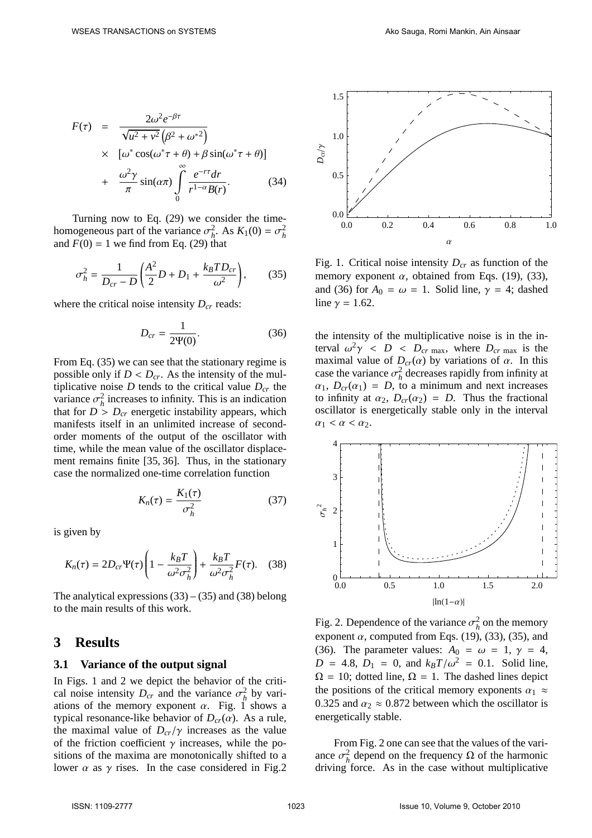$$
F(\tau) = \frac{2\omega^2 e^{-\beta \tau}}{\sqrt{u^2 + v^2} (\beta^2 + \omega^{*2})}
$$
  
 
$$
\times \left[ \omega^* \cos(\omega^* \tau + \theta) + \beta \sin(\omega^* \tau + \theta) \right]
$$
  
 
$$
+ \frac{\omega^2 \gamma}{\pi} \sin(\alpha \pi) \int_0^\infty \frac{e^{-r\tau} dr}{r^{1-\alpha} B(r)}.
$$
 (34)

Turning now to Eq. (29) we consider the timehomogeneous part of the variance  $\sigma_h^2$ . As  $K_1(0) = \sigma_h^2$ and  $F(0) = 1$  we find from Eq. (29) that

$$
\sigma_h^2 = \frac{1}{D_{cr} - D} \left( \frac{A^2}{2} D + D_1 + \frac{k_B T D_{cr}}{\omega^2} \right), \tag{35}
$$

where the critical noise intensity *Dcr* reads:

$$
D_{cr} = \frac{1}{2\Psi(0)}.\tag{36}
$$

From Eq. (35) we can see that the stationary regime is possible only if  $D < D_{cr}$ . As the intensity of the multiplicative noise *D* tends to the critical value  $D_{cr}$  the variance  $\sigma_h^2$  increases to infinity. This is an indication that for  $D > D_{cr}$  energetic instability appears, which manifests itself in an unlimited increase of secondorder moments of the output of the oscillator with time, while the mean value of the oscillator displacement remains finite [35, 36]. Thus, in the stationary case the normalized one-time correlation function

$$
K_n(\tau) = \frac{K_1(\tau)}{\sigma_h^2} \tag{37}
$$

is given by

$$
K_n(\tau) = 2D_{cr}\Psi(\tau)\left(1 - \frac{k_B T}{\omega^2 \sigma_h^2}\right) + \frac{k_B T}{\omega^2 \sigma_h^2}F(\tau). \quad (38)
$$

The analytical expressions  $(33) - (35)$  and  $(38)$  belong to the main results of this work.

### **3 Results**

### **3.1 Variance of the output signal**

In Figs. 1 and 2 we depict the behavior of the critical noise intensity  $D_{cr}$  and the variance  $\sigma_h^2$  by variations of the memory exponent  $\alpha$ . Fig. 1 shows a typical resonance-like behavior of  $D_{cr}(\alpha)$ . As a rule, the maximal value of  $D_{cr}/\gamma$  increases as the value of the friction coefficient  $\gamma$  increases, while the positions of the maxima are monotonically shifted to a lower  $\alpha$  as  $\gamma$  rises. In the case considered in Fig.2



Fig. 1. Critical noise intensity *Dcr* as function of the memory exponent  $\alpha$ , obtained from Eqs. (19), (33), and (36) for  $A_0 = \omega = 1$ . Solid line,  $\gamma = 4$ ; dashed line  $\gamma = 1.62$ .

the intensity of the multiplicative noise is in the interval  $\omega^2 \gamma$  < *D* < *D<sub>cr</sub>* max, where *D<sub>cr</sub>* max is the maximal value of  $D_{cr}(\alpha)$  by variations of  $\alpha$ . In this case the variance  $\sigma_h^2$  decreases rapidly from infinity at  $\alpha_1$ ,  $D_{cr}(\alpha_1) = D$ , to a minimum and next increases to infinity at  $\alpha_2$ ,  $D_{cr}(\alpha_2) = D$ . Thus the fractional oscillator is energetically stable only in the interval  $\alpha_1 < \alpha < \alpha_2$ .



Fig. 2. Dependence of the variance  $\sigma_h^2$  on the memory exponent  $\alpha$ , computed from Eqs. (19), (33), (35), and (36). The parameter values:  $A_0 = \omega = 1$ ,  $\gamma = 4$ ,  $D = 4.8$ ,  $D_1 = 0$ , and  $k_B T/\omega^2 = 0.1$ . Solid line,  $\Omega = 10$ ; dotted line,  $\Omega = 1$ . The dashed lines depict the positions of the critical memory exponents  $\alpha_1 \approx$ 0.325 and  $\alpha_2 \approx 0.872$  between which the oscillator is energetically stable.

From Fig. 2 one can see that the values of the variance  $\sigma_h^2$  depend on the frequency  $\Omega$  of the harmonic driving force. As in the case without multiplicative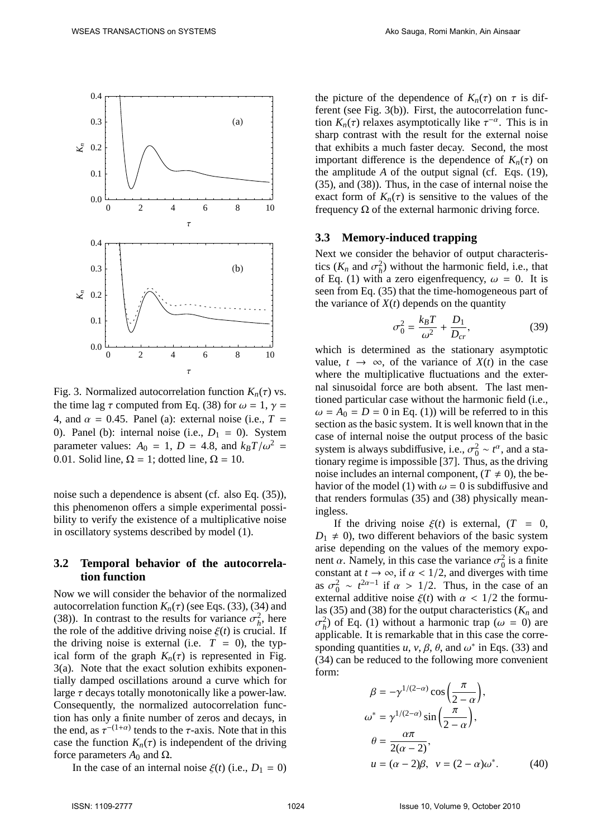

Fig. 3. Normalized autocorrelation function  $K_n(\tau)$  vs. the time lag  $\tau$  computed from Eq. (38) for  $\omega = 1$ ,  $\gamma =$ 4, and  $\alpha = 0.45$ . Panel (a): external noise (i.e.,  $T =$ 0). Panel (b): internal noise (i.e.,  $D_1 = 0$ ). System parameter values:  $A_0 = 1$ ,  $D = 4.8$ , and  $k_B T/\omega^2 =$ 0.01. Solid line,  $\Omega = 1$ ; dotted line,  $\Omega = 10$ .

noise such a dependence is absent (cf. also Eq. (35)), this phenomenon offers a simple experimental possibility to verify the existence of a multiplicative noise in oscillatory systems described by model (1).

### **3.2 Temporal behavior of the autocorrelation function**

Now we will consider the behavior of the normalized autocorrelation function  $K_n(\tau)$  (see Eqs. (33), (34) and (38)). In contrast to the results for variance  $\sigma_h^2$ , here the role of the additive driving noise  $\xi(t)$  is crucial. If the driving noise is external (i.e.  $T = 0$ ), the typical form of the graph  $K_n(\tau)$  is represented in Fig. 3(a). Note that the exact solution exhibits exponentially damped oscillations around a curve which for large  $\tau$  decays totally monotonically like a power-law. Consequently, the normalized autocorrelation function has only a finite number of zeros and decays, in the end, as  $\tau^{-(1+\alpha)}$  tends to the  $\tau$ -axis. Note that in this case the function  $K_n(\tau)$  is independent of the driving force parameters  $A_0$  and  $Ω$ .

In the case of an internal noise  $\xi(t)$  (i.e.,  $D_1 = 0$ )

the picture of the dependence of  $K_n(\tau)$  on  $\tau$  is different (see Fig. 3(b)). First, the autocorrelation function  $K_n(\tau)$  relaxes asymptotically like  $\tau^{-\alpha}$ . This is in sharp contrast with the result for the external noise that exhibits a much faster decay. Second, the most important difference is the dependence of  $K_n(\tau)$  on the amplitude *A* of the output signal (cf. Eqs. (19), (35), and (38)). Thus, in the case of internal noise the exact form of  $K_n(\tau)$  is sensitive to the values of the frequency  $\Omega$  of the external harmonic driving force.

### **3.3 Memory-induced trapping**

Next we consider the behavior of output characteristics  $(K_n$  and  $\sigma_h^2)$  without the harmonic field, i.e., that of Eq. (1) with a zero eigenfrequency,  $\omega = 0$ . It is seen from Eq. (35) that the time-homogeneous part of the variance of  $X(t)$  depends on the quantity

$$
\sigma_0^2 = \frac{k_B T}{\omega^2} + \frac{D_1}{D_{cr}},
$$
\n(39)

which is determined as the stationary asymptotic value,  $t \to \infty$ , of the variance of  $X(t)$  in the case where the multiplicative fluctuations and the external sinusoidal force are both absent. The last mentioned particular case without the harmonic field (i.e.,  $\omega = A_0 = D = 0$  in Eq. (1)) will be referred to in this section as the basic system. It is well known that in the case of internal noise the output process of the basic system is always subdiffusive, i.e.,  $\sigma_0^2 \sim t^{\alpha}$ , and a stationary regime is impossible [37]. Thus, as the driving noise includes an internal component,  $(T \neq 0)$ , the behavior of the model (1) with  $\omega = 0$  is subdiffusive and that renders formulas (35) and (38) physically meaningless.

If the driving noise  $\xi(t)$  is external,  $(T = 0,$  $D_1 \neq 0$ ), two different behaviors of the basic system arise depending on the values of the memory exponent  $\alpha$ . Namely, in this case the variance  $\sigma_0^2$  is a finite constant at  $t \to \infty$ , if  $\alpha < 1/2$ , and diverges with time as  $\sigma_0^2 \sim t^{2\alpha-1}$  if  $\alpha > 1/2$ . Thus, in the case of an external additive noise  $\xi(t)$  with  $\alpha < 1/2$  the formulas (35) and (38) for the output characteristics  $(K_n$  and  $\sigma_h^2$ ) of Eq. (1) without a harmonic trap ( $\omega = 0$ ) are applicable. It is remarkable that in this case the corresponding quantities  $u$ ,  $v$ ,  $\beta$ ,  $\theta$ , and  $\omega^*$  in Eqs. (33) and (34) can be reduced to the following more convenient form:

$$
\beta = -\gamma^{1/(2-\alpha)} \cos\left(\frac{\pi}{2-\alpha}\right),
$$
  
\n
$$
\omega^* = \gamma^{1/(2-\alpha)} \sin\left(\frac{\pi}{2-\alpha}\right),
$$
  
\n
$$
\theta = \frac{\alpha \pi}{2(\alpha - 2)},
$$
  
\n
$$
u = (\alpha - 2)\beta, \quad v = (2 - \alpha)\omega^*.
$$
 (40)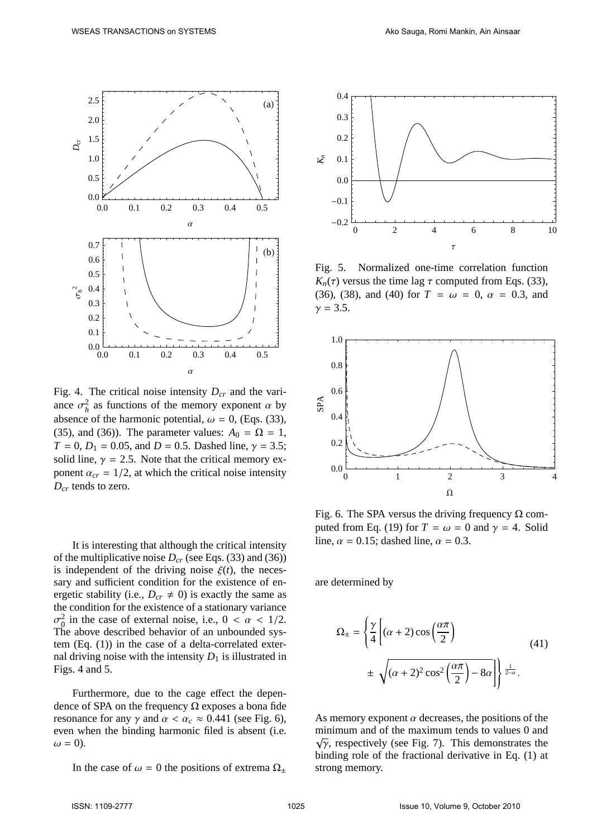

Fig. 4. The critical noise intensity *Dcr* and the variance  $\sigma_h^2$  as functions of the memory exponent  $\alpha$  by absence of the harmonic potential,  $\omega = 0$ , (Eqs. (33), (35), and (36)). The parameter values:  $A_0 = \Omega = 1$ ,  $T = 0, D_1 = 0.05$ , and  $D = 0.5$ . Dashed line,  $\gamma = 3.5$ ; solid line,  $\gamma = 2.5$ . Note that the critical memory exponent  $\alpha_{cr} = 1/2$ , at which the critical noise intensity *Dcr* tends to zero.

It is interesting that although the critical intensity of the multiplicative noise *Dcr* (see Eqs. (33) and (36)) is independent of the driving noise  $\xi(t)$ , the necessary and sufficient condition for the existence of energetic stability (i.e.,  $D_{cr} \neq 0$ ) is exactly the same as the condition for the existence of a stationary variance  $\sigma_0^2$  in the case of external noise, i.e.,  $0 < \alpha < 1/2$ . The above described behavior of an unbounded system (Eq. (1)) in the case of a delta-correlated external driving noise with the intensity  $D_1$  is illustrated in Figs. 4 and 5.

Furthermore, due to the cage effect the dependence of SPA on the frequency Ω exposes a bona fide resonance for any  $\gamma$  and  $\alpha < \alpha_c \approx 0.441$  (see Fig. 6), even when the binding harmonic filed is absent (i.e.  $\omega = 0$ ).

In the case of  $\omega = 0$  the positions of extrema  $\Omega_{\pm}$ 



Fig. 5. Normalized one-time correlation function  $K_n(\tau)$  versus the time lag  $\tau$  computed from Eqs. (33), (36), (38), and (40) for  $T = \omega = 0$ ,  $\alpha = 0.3$ , and  $γ = 3.5.$ 



Fig. 6. The SPA versus the driving frequency  $\Omega$  computed from Eq. (19) for  $T = \omega = 0$  and  $\gamma = 4$ . Solid line,  $\alpha = 0.15$ ; dashed line,  $\alpha = 0.3$ .

are determined by

$$
\Omega_{\pm} = \left\{ \frac{\gamma}{4} \left[ (\alpha + 2) \cos \left( \frac{\alpha \pi}{2} \right) \right] \right\}
$$
  

$$
\pm \sqrt{(\alpha + 2)^2 \cos^2 \left( \frac{\alpha \pi}{2} \right) - 8\alpha} \right\} \frac{1}{2^{-\alpha}}.
$$
 (41)

As memory exponent  $\alpha$  decreases, the positions of the minimum and of the maximum tends to values 0 and  $\sqrt{\gamma}$ , respectively (see Fig. 7). This demonstrates the binding role of the fractional derivative in Eq. (1) at strong memory.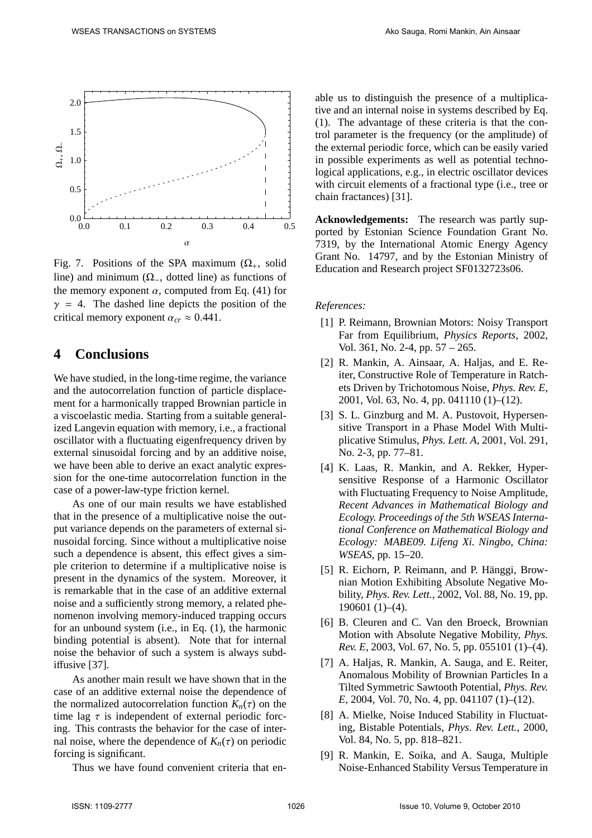

Fig. 7. Positions of the SPA maximum  $(\Omega_{+}, \text{ solid})$ line) and minimum ( $\Omega$ <sub>−</sub>, dotted line) as functions of the memory exponent  $\alpha$ , computed from Eq. (41) for  $\gamma = 4$ . The dashed line depicts the position of the critical memory exponent  $\alpha_{cr} \approx 0.441$ .

### **4 Conclusions**

We have studied, in the long-time regime, the variance and the autocorrelation function of particle displacement for a harmonically trapped Brownian particle in a viscoelastic media. Starting from a suitable generalized Langevin equation with memory, i.e., a fractional oscillator with a fluctuating eigenfrequency driven by external sinusoidal forcing and by an additive noise, we have been able to derive an exact analytic expression for the one-time autocorrelation function in the case of a power-law-type friction kernel.

As one of our main results we have established that in the presence of a multiplicative noise the output variance depends on the parameters of external sinusoidal forcing. Since without a multiplicative noise such a dependence is absent, this effect gives a simple criterion to determine if a multiplicative noise is present in the dynamics of the system. Moreover, it is remarkable that in the case of an additive external noise and a sufficiently strong memory, a related phenomenon involving memory-induced trapping occurs for an unbound system (i.e., in Eq. (1), the harmonic binding potential is absent). Note that for internal noise the behavior of such a system is always subdiffusive [37].

As another main result we have shown that in the case of an additive external noise the dependence of the normalized autocorrelation function  $K_n(\tau)$  on the time lag  $\tau$  is independent of external periodic forcing. This contrasts the behavior for the case of internal noise, where the dependence of  $K_n(\tau)$  on periodic forcing is significant.

Thus we have found convenient criteria that en-

able us to distinguish the presence of a multiplicative and an internal noise in systems described by Eq. (1). The advantage of these criteria is that the control parameter is the frequency (or the amplitude) of the external periodic force, which can be easily varied in possible experiments as well as potential technological applications, e.g., in electric oscillator devices with circuit elements of a fractional type (i.e., tree or chain fractances) [31].

**Acknowledgements:** The research was partly supported by Estonian Science Foundation Grant No. 7319, by the International Atomic Energy Agency Grant No. 14797, and by the Estonian Ministry of Education and Research project SF0132723s06.

#### *References:*

- [1] P. Reimann, Brownian Motors: Noisy Transport Far from Equilibrium, *Physics Reports*, 2002, Vol. 361, No. 2-4, pp. 57 – 265.
- [2] R. Mankin, A. Ainsaar, A. Haljas, and E. Reiter, Constructive Role of Temperature in Ratchets Driven by Trichotomous Noise, *Phys. Rev. E*, 2001, Vol. 63, No. 4, pp. 041110 (1)–(12).
- [3] S. L. Ginzburg and M. A. Pustovoit, Hypersensitive Transport in a Phase Model With Multiplicative Stimulus, *Phys. Lett. A*, 2001, Vol. 291, No. 2-3, pp. 77–81.
- [4] K. Laas, R. Mankin, and A. Rekker, Hypersensitive Response of a Harmonic Oscillator with Fluctuating Frequency to Noise Amplitude, *Recent Advances in Mathematical Biology and Ecology. Proceedings of the 5th WSEAS International Conference on Mathematical Biology and Ecology: MABE09. Lifeng Xi. Ningbo, China: WSEAS*, pp. 15–20.
- [5] R. Eichorn, P. Reimann, and P. Hänggi, Brownian Motion Exhibiting Absolute Negative Mobility, *Phys. Rev. Lett.*, 2002, Vol. 88, No. 19, pp. 190601 (1)–(4).
- [6] B. Cleuren and C. Van den Broeck, Brownian Motion with Absolute Negative Mobility, *Phys. Rev. E*, 2003, Vol. 67, No. 5, pp. 055101 (1)–(4).
- [7] A. Haljas, R. Mankin, A. Sauga, and E. Reiter, Anomalous Mobility of Brownian Particles In a Tilted Symmetric Sawtooth Potential, *Phys. Rev. E*, 2004, Vol. 70, No. 4, pp. 041107 (1)–(12).
- [8] A. Mielke, Noise Induced Stability in Fluctuating, Bistable Potentials, *Phys. Rev. Lett.*, 2000, Vol. 84, No. 5, pp. 818–821.
- [9] R. Mankin, E. Soika, and A. Sauga, Multiple Noise-Enhanced Stability Versus Temperature in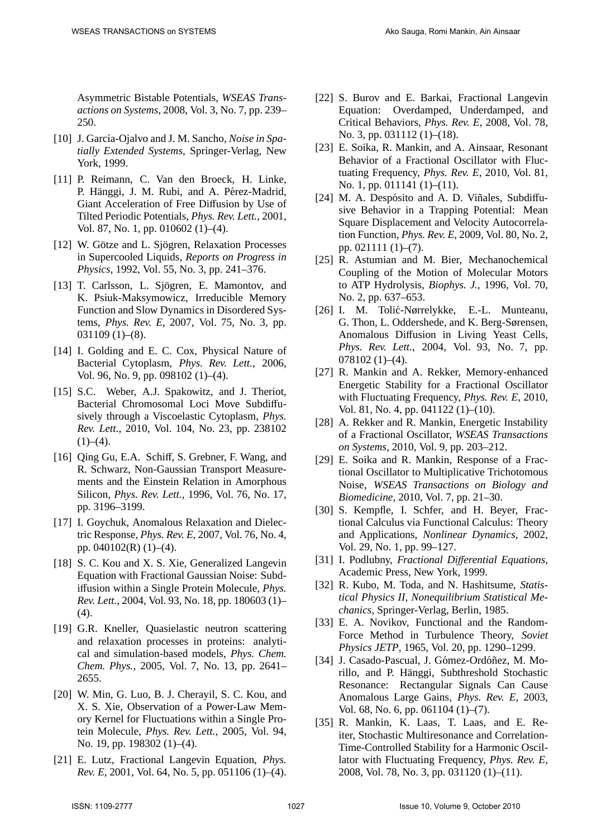Asymmetric Bistable Potentials, *WSEAS Transactions on Systems*, 2008, Vol. 3, No. 7, pp. 239– 250.

- [10] J. García-Ojalvo and J. M. Sancho, *Noise in Spatially Extended Systems*, Springer-Verlag, New York, 1999.
- [11] P. Reimann, C. Van den Broeck, H. Linke, P. Hänggi, J. M. Rubi, and A. Pérez-Madrid, Giant Acceleration of Free Diffusion by Use of Tilted Periodic Potentials, *Phys. Rev. Lett.*, 2001, Vol. 87, No. 1, pp. 010602 (1)–(4).
- [12] W. Götze and L. Sjögren, Relaxation Processes in Supercooled Liquids, *Reports on Progress in Physics*, 1992, Vol. 55, No. 3, pp. 241–376.
- [13] T. Carlsson, L. Sjögren, E. Mamontov, and K. Psiuk-Maksymowicz, Irreducible Memory Function and Slow Dynamics in Disordered Systems, *Phys. Rev. E*, 2007, Vol. 75, No. 3, pp. 031109 (1)–(8).
- [14] I. Golding and E. C. Cox, Physical Nature of Bacterial Cytoplasm, *Phys. Rev. Lett.*, 2006, Vol. 96, No. 9, pp. 098102 (1)–(4).
- [15] S.C. Weber, A.J. Spakowitz, and J. Theriot, Bacterial Chromosomal Loci Move Subdiffusively through a Viscoelastic Cytoplasm, *Phys. Rev. Lett.*, 2010, Vol. 104, No. 23, pp. 238102  $(1)–(4)$ .
- [16] Qing Gu, E.A. Schiff, S. Grebner, F. Wang, and R. Schwarz, Non-Gaussian Transport Measurements and the Einstein Relation in Amorphous Silicon, *Phys. Rev. Lett.*, 1996, Vol. 76, No. 17, pp. 3196–3199.
- [17] I. Goychuk, Anomalous Relaxation and Dielectric Response, *Phys. Rev. E*, 2007, Vol. 76, No. 4, pp. 040102(R) (1)–(4).
- [18] S. C. Kou and X. S. Xie, Generalized Langevin Equation with Fractional Gaussian Noise: Subdiffusion within a Single Protein Molecule, *Phys. Rev. Lett.*, 2004, Vol. 93, No. 18, pp. 180603 (1)– (4).
- [19] G.R. Kneller, Quasielastic neutron scattering and relaxation processes in proteins: analytical and simulation-based models, *Phys. Chem. Chem. Phys.*, 2005, Vol. 7, No. 13, pp. 2641– 2655.
- [20] W. Min, G. Luo, B. J. Cherayil, S. C. Kou, and X. S. Xie, Observation of a Power-Law Memory Kernel for Fluctuations within a Single Protein Molecule, *Phys. Rev. Lett.*, 2005, Vol. 94, No. 19, pp. 198302 (1)–(4).
- [21] E. Lutz, Fractional Langevin Equation, *Phys. Rev. E*, 2001, Vol. 64, No. 5, pp. 051106 (1)–(4).
- [22] S. Burov and E. Barkai, Fractional Langevin Equation: Overdamped, Underdamped, and Critical Behaviors, *Phys. Rev. E*, 2008, Vol. 78, No. 3, pp. 031112 (1)–(18).
- [23] E. Soika, R. Mankin, and A. Ainsaar, Resonant Behavior of a Fractional Oscillator with Fluctuating Frequency, *Phys. Rev. E*, 2010, Vol. 81, No. 1, pp. 011141 (1)–(11).
- $[24]$  M. A. Despósito and A. D. Viñales, Subdiffusive Behavior in a Trapping Potential: Mean Square Displacement and Velocity Autocorrelation Function, *Phys. Rev. E*, 2009, Vol. 80, No. 2, pp. 021111 (1)–(7).
- [25] R. Astumian and M. Bier, Mechanochemical Coupling of the Motion of Molecular Motors to ATP Hydrolysis, *Biophys. J.*, 1996, Vol. 70, No. 2, pp. 637–653.
- [26] I. M. Tolić-Nørrelykke, E.-L. Munteanu, G. Thon, L. Oddershede, and K. Berg-Sørensen, Anomalous Diffusion in Living Yeast Cells, *Phys. Rev. Lett.*, 2004, Vol. 93, No. 7, pp.  $078102(1)–(4)$ .
- [27] R. Mankin and A. Rekker, Memory-enhanced Energetic Stability for a Fractional Oscillator with Fluctuating Frequency, *Phys. Rev. E*, 2010, Vol. 81, No. 4, pp. 041122 (1)–(10).
- [28] A. Rekker and R. Mankin, Energetic Instability of a Fractional Oscillator, *WSEAS Transactions on Systems*, 2010, Vol. 9, pp. 203–212.
- [29] E. Soika and R. Mankin, Response of a Fractional Oscillator to Multiplicative Trichotomous Noise, *WSEAS Transactions on Biology and Biomedicine*, 2010, Vol. 7, pp. 21–30.
- [30] S. Kempfle, I. Schfer, and H. Beyer, Fractional Calculus via Functional Calculus: Theory and Applications, *Nonlinear Dynamics*, 2002, Vol. 29, No. 1, pp. 99–127.
- [31] I. Podlubny, *Fractional Di*ff*erential Equations*, Academic Press, New York, 1999.
- [32] R. Kubo, M. Toda, and N. Hashitsume, *Statistical Physics II, Nonequilibrium Statistical Mechanics*, Springer-Verlag, Berlin, 1985.
- [33] E. A. Novikov, Functional and the Random-Force Method in Turbulence Theory, *Soviet Physics JETP*, 1965, Vol. 20, pp. 1290–1299.
- [34] J. Casado-Pascual, J. Gómez-Ordóñez, M. Morillo, and P. Hanggi, Subthreshold Stochastic ¨ Resonance: Rectangular Signals Can Cause Anomalous Large Gains, *Phys. Rev. E*, 2003, Vol. 68, No. 6, pp. 061104 (1)–(7).
- [35] R. Mankin, K. Laas, T. Laas, and E. Reiter, Stochastic Multiresonance and Correlation-Time-Controlled Stability for a Harmonic Oscillator with Fluctuating Frequency, *Phys. Rev. E*, 2008, Vol. 78, No. 3, pp. 031120 (1)–(11).